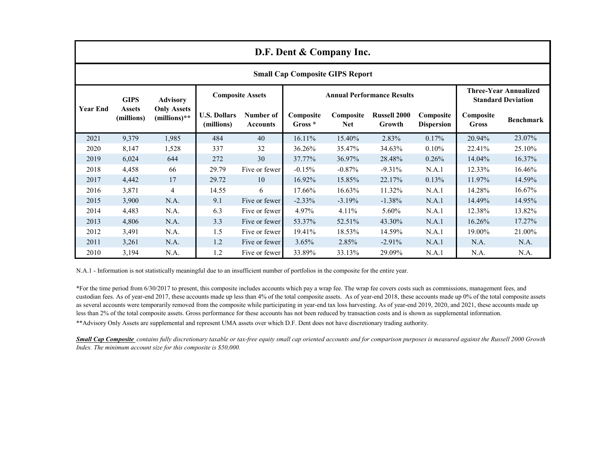| D.F. Dent & Company Inc.               |                                            |                                                         |                                   |                              |                                   |                         |                               |                                |                                                           |                  |
|----------------------------------------|--------------------------------------------|---------------------------------------------------------|-----------------------------------|------------------------------|-----------------------------------|-------------------------|-------------------------------|--------------------------------|-----------------------------------------------------------|------------------|
| <b>Small Cap Composite GIPS Report</b> |                                            |                                                         |                                   |                              |                                   |                         |                               |                                |                                                           |                  |
| <b>Year End</b>                        | <b>GIPS</b><br><b>Assets</b><br>(millions) | <b>Advisory</b><br><b>Only Assets</b><br>$(millions)**$ | <b>Composite Assets</b>           |                              | <b>Annual Performance Results</b> |                         |                               |                                | <b>Three-Year Annualized</b><br><b>Standard Deviation</b> |                  |
|                                        |                                            |                                                         | <b>U.S. Dollars</b><br>(millions) | Number of<br><b>Accounts</b> | Composite<br>Gross *              | Composite<br><b>Net</b> | <b>Russell 2000</b><br>Growth | Composite<br><b>Dispersion</b> | Composite<br>Gross                                        | <b>Benchmark</b> |
| 2021                                   | 9,379                                      | 1,985                                                   | 484                               | 40                           | 16.11%                            | 15.40%                  | 2.83%                         | 0.17%                          | 20.94%                                                    | 23.07%           |
| 2020                                   | 8,147                                      | 1,528                                                   | 337                               | 32                           | 36.26%                            | 35.47%                  | 34.63%                        | 0.10%                          | 22.41%                                                    | 25.10%           |
| 2019                                   | 6,024                                      | 644                                                     | 272                               | 30                           | 37.77%                            | 36.97%                  | 28.48%                        | 0.26%                          | 14.04%                                                    | 16.37%           |
| 2018                                   | 4,458                                      | 66                                                      | 29.79                             | Five or fewer                | $-0.15%$                          | $-0.87%$                | $-9.31%$                      | N.A.1                          | 12.33%                                                    | 16.46%           |
| 2017                                   | 4,442                                      | 17                                                      | 29.72                             | 10                           | 16.92%                            | 15.85%                  | 22.17%                        | 0.13%                          | 11.97%                                                    | 14.59%           |
| 2016                                   | 3,871                                      | 4                                                       | 14.55                             | 6                            | 17.66%                            | 16.63%                  | 11.32%                        | N.A.1                          | 14.28%                                                    | 16.67%           |
| 2015                                   | 3,900                                      | N.A.                                                    | 9.1                               | Five or fewer                | $-2.33\%$                         | $-3.19%$                | $-1.38%$                      | N.A.1                          | 14.49%                                                    | 14.95%           |
| 2014                                   | 4,483                                      | N.A.                                                    | 6.3                               | Five or fewer                | 4.97%                             | 4.11%                   | 5.60%                         | N.A.1                          | 12.38%                                                    | 13.82%           |
| 2013                                   | 4,806                                      | N.A.                                                    | 3.3                               | Five or fewer                | 53.37%                            | 52.51%                  | 43.30%                        | N.A.1                          | 16.26%                                                    | 17.27%           |
| 2012                                   | 3,491                                      | N.A.                                                    | 1.5                               | Five or fewer                | 19.41%                            | 18.53%                  | 14.59%                        | N.A.1                          | 19.00%                                                    | 21.00%           |
| 2011                                   | 3,261                                      | N.A.                                                    | 1.2                               | Five or fewer                | 3.65%                             | 2.85%                   | $-2.91%$                      | N.A.1                          | N.A.                                                      | N.A.             |
| 2010                                   | 3,194                                      | N.A.                                                    | 1.2                               | Five or fewer                | 33.89%                            | 33.13%                  | 29.09%                        | N.A.1                          | N.A.                                                      | N.A.             |

N.A.1 - Information is not statistically meaningful due to an insufficient number of portfolios in the composite for the entire year.

\*\*Advisory Only Assets are supplemental and represent UMA assets over which D.F. Dent does not have discretionary trading authority. \*For the time period from 6/30/2017 to present, this composite includes accounts which pay a wrap fee. The wrap fee covers costs such as commissions, management fees, and custodian fees. As of year-end 2017, these accounts made up less than 4% of the total composite assets. As of year-end 2018, these accounts made up 0% of the total composite assets as several accounts were temporarily removed from the composite while participating in year-end tax loss harvesting. As of year-end 2019, 2020, and 2021, these accounts made up less than 2% of the total composite assets. Gross performance for these accounts has not been reduced by transaction costs and is shown as supplemental information.

*Small Cap Composite contains fully discretionary taxable or tax-free equity small cap oriented accounts and for comparison purposes is measured against the Russell 2000 Growth Index. The minimum account size for this composite is \$50,000.*